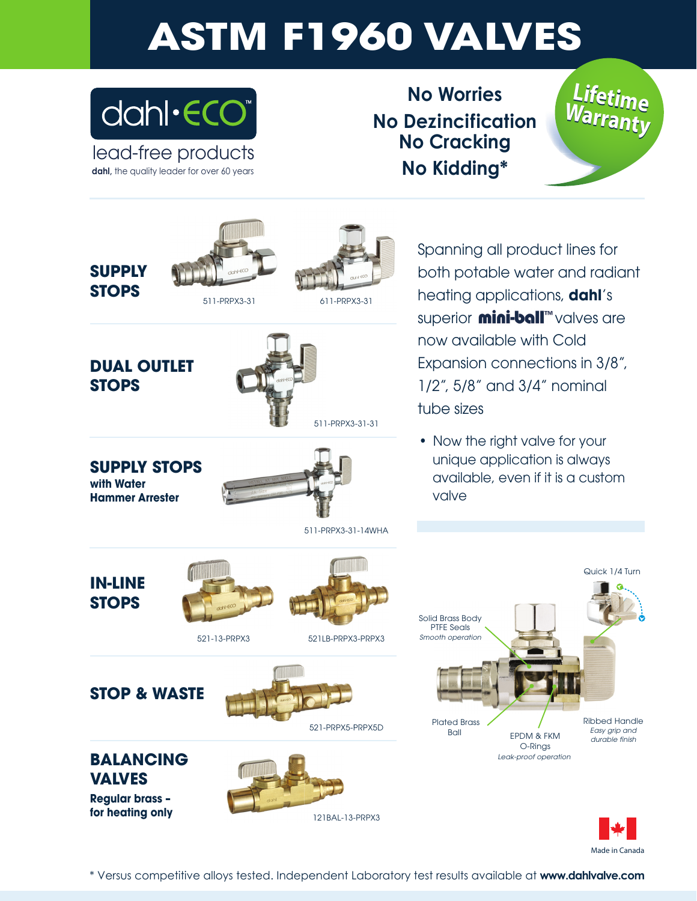## **ASTM F1960 VALVES**



lead-free products dahl, the quality leader for over 60 years

**No Worries No Dezincification No Cracking No Kidding\***







511-PRPX3-31 611-PRPX3-31



**DUAL OUTLET STOPS**



**SUPPLY STOPS with Water Hammer Arrester**



Spanning all product lines for both potable water and radiant heating applications, **dahl**'s superior **mini-ball** walves are now available with Cold Expansion connections in 3/8", 1/2", 5/8" and 3/4" nominal tube sizes

• Now the right valve for your unique application is always available, even if it is a custom valve

**IN-LINE STOPS**





511-PRPX3-31-14WHA

521-13-PRPX3 521LB-PRPX3-PRPX3

**STOP & WASTE**





**Regular brass – for heating only**





Ribbed Handle *Easy grip and durable finish* Solid Brass Body PTFE Seals *Smooth operation* Plated Brass EPDM & FKM O-Rings *Leak-proof operation*



Quick 1/4 Turn

\* Versus competitive alloys tested. Independent Laboratory test results available at **www.dahlvalve.com**